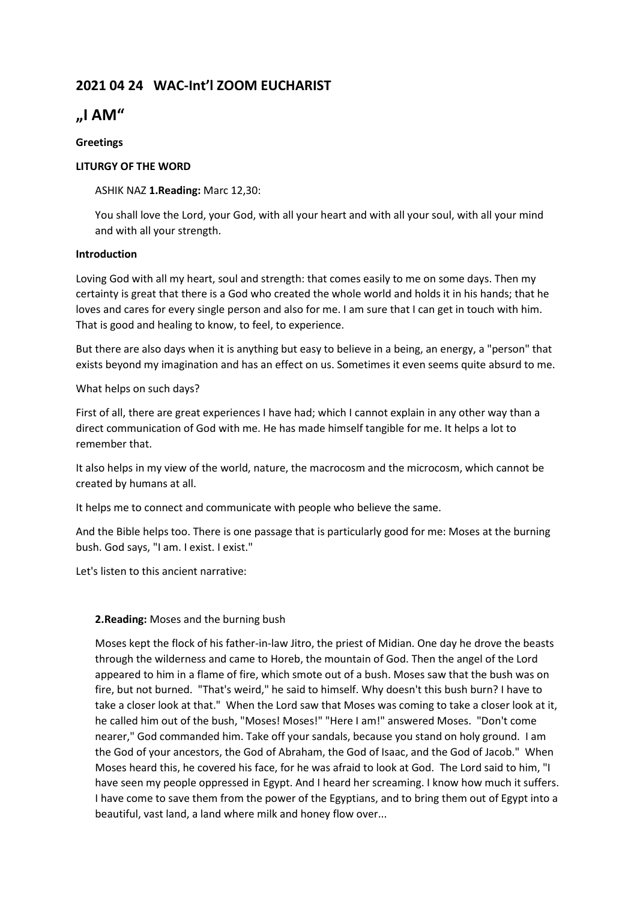# **2021 04 24 WAC-Int'l ZOOM EUCHARIST**

# **"I AM"**

# **Greetings**

# **LITURGY OF THE WORD**

# ASHIK NAZ **1.Reading:** Marc 12,30:

You shall love the Lord, your God, with all your heart and with all your soul, with all your mind and with all your strength.

# **Introduction**

Loving God with all my heart, soul and strength: that comes easily to me on some days. Then my certainty is great that there is a God who created the whole world and holds it in his hands; that he loves and cares for every single person and also for me. I am sure that I can get in touch with him. That is good and healing to know, to feel, to experience.

But there are also days when it is anything but easy to believe in a being, an energy, a "person" that exists beyond my imagination and has an effect on us. Sometimes it even seems quite absurd to me.

# What helps on such days?

First of all, there are great experiences I have had; which I cannot explain in any other way than a direct communication of God with me. He has made himself tangible for me. It helps a lot to remember that.

It also helps in my view of the world, nature, the macrocosm and the microcosm, which cannot be created by humans at all.

It helps me to connect and communicate with people who believe the same.

And the Bible helps too. There is one passage that is particularly good for me: Moses at the burning bush. God says, "I am. I exist. I exist."

Let's listen to this ancient narrative:

# **2.Reading:** Moses and the burning bush

Moses kept the flock of his father-in-law Jitro, the priest of Midian. One day he drove the beasts through the wilderness and came to Horeb, the mountain of God. Then the angel of the Lord appeared to him in a flame of fire, which smote out of a bush. Moses saw that the bush was on fire, but not burned. "That's weird," he said to himself. Why doesn't this bush burn? I have to take a closer look at that." When the Lord saw that Moses was coming to take a closer look at it, he called him out of the bush, "Moses! Moses!" "Here I am!" answered Moses. "Don't come nearer," God commanded him. Take off your sandals, because you stand on holy ground. I am the God of your ancestors, the God of Abraham, the God of Isaac, and the God of Jacob." When Moses heard this, he covered his face, for he was afraid to look at God. The Lord said to him, "I have seen my people oppressed in Egypt. And I heard her screaming. I know how much it suffers. I have come to save them from the power of the Egyptians, and to bring them out of Egypt into a beautiful, vast land, a land where milk and honey flow over...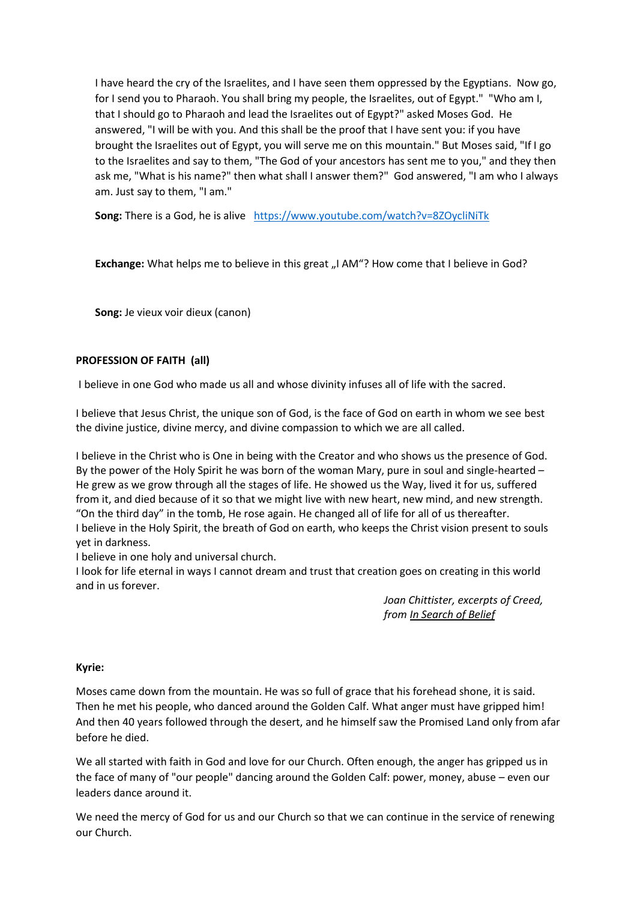I have heard the cry of the Israelites, and I have seen them oppressed by the Egyptians. Now go, for I send you to Pharaoh. You shall bring my people, the Israelites, out of Egypt." "Who am I, that I should go to Pharaoh and lead the Israelites out of Egypt?" asked Moses God. He answered, "I will be with you. And this shall be the proof that I have sent you: if you have brought the Israelites out of Egypt, you will serve me on this mountain." But Moses said, "If I go to the Israelites and say to them, "The God of your ancestors has sent me to you," and they then ask me, "What is his name?" then what shall I answer them?" God answered, "I am who I always am. Just say to them, "I am."

**Song:** There is a God, he is alive <https://www.youtube.com/watch?v=8ZOycliNiTk>

Exchange: What helps me to believe in this great "I AM"? How come that I believe in God?

**Song:** Je vieux voir dieux (canon)

# **PROFESSION OF FAITH (all)**

I believe in one God who made us all and whose divinity infuses all of life with the sacred.

I believe that Jesus Christ, the unique son of God, is the face of God on earth in whom we see best the divine justice, divine mercy, and divine compassion to which we are all called.

I believe in the Christ who is One in being with the Creator and who shows us the presence of God. By the power of the Holy Spirit he was born of the woman Mary, pure in soul and single-hearted – He grew as we grow through all the stages of life. He showed us the Way, lived it for us, suffered from it, and died because of it so that we might live with new heart, new mind, and new strength. "On the third day" in the tomb, He rose again. He changed all of life for all of us thereafter. I believe in the Holy Spirit, the breath of God on earth, who keeps the Christ vision present to souls yet in darkness.

I believe in one holy and universal church.

I look for life eternal in ways I cannot dream and trust that creation goes on creating in this world and in us forever.

> *Joan Chittister, excerpts of Creed, from In Search of Belief*

# **Kyrie:**

Moses came down from the mountain. He was so full of grace that his forehead shone, it is said. Then he met his people, who danced around the Golden Calf. What anger must have gripped him! And then 40 years followed through the desert, and he himself saw the Promised Land only from afar before he died.

We all started with faith in God and love for our Church. Often enough, the anger has gripped us in the face of many of "our people" dancing around the Golden Calf: power, money, abuse – even our leaders dance around it.

We need the mercy of God for us and our Church so that we can continue in the service of renewing our Church.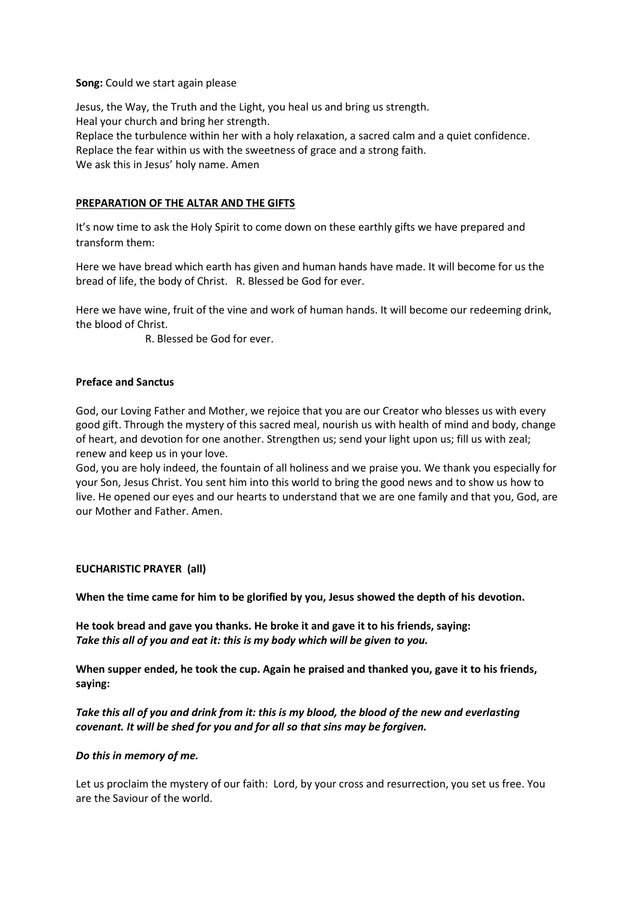#### **Song:** Could we start again please

Jesus, the Way, the Truth and the Light, you heal us and bring us strength. Heal your church and bring her strength. Replace the turbulence within her with a holy relaxation, a sacred calm and a quiet confidence. Replace the fear within us with the sweetness of grace and a strong faith. We ask this in Jesus' holy name. Amen

# **PREPARATION OF THE ALTAR AND THE GIFTS**

It's now time to ask the Holy Spirit to come down on these earthly gifts we have prepared and transform them:

Here we have bread which earth has given and human hands have made. It will become for us the bread of life, the body of Christ. R. Blessed be God for ever.

Here we have wine, fruit of the vine and work of human hands. It will become our redeeming drink, the blood of Christ.

R. Blessed be God for ever.

# **Preface and Sanctus**

God, our Loving Father and Mother, we rejoice that you are our Creator who blesses us with every good gift. Through the mystery of this sacred meal, nourish us with health of mind and body, change of heart, and devotion for one another. Strengthen us; send your light upon us; fill us with zeal; renew and keep us in your love.

God, you are holy indeed, the fountain of all holiness and we praise you. We thank you especially for your Son, Jesus Christ. You sent him into this world to bring the good news and to show us how to live. He opened our eyes and our hearts to understand that we are one family and that you, God, are our Mother and Father. Amen.

# **EUCHARISTIC PRAYER (all)**

**When the time came for him to be glorified by you, Jesus showed the depth of his devotion.**

**He took bread and gave you thanks. He broke it and gave it to his friends, saying:** *Take this all of you and eat it: this is my body which will be given to you.*

**When supper ended, he took the cup. Again he praised and thanked you, gave it to his friends, saying:**

*Take this all of you and drink from it: this is my blood, the blood of the new and everlasting covenant. It will be shed for you and for all so that sins may be forgiven.*

#### *Do this in memory of me.*

Let us proclaim the mystery of our faith: Lord, by your cross and resurrection, you set us free. You are the Saviour of the world.